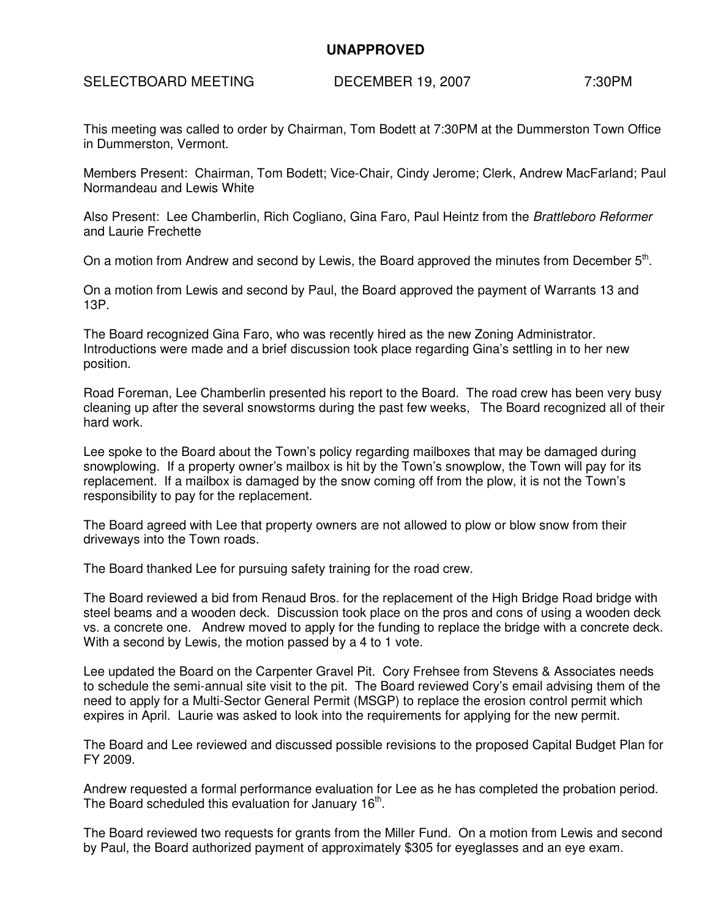## **UNAPPROVED**

## SELECTBOARD MEETING DECEMBER 19, 2007 7:30PM

This meeting was called to order by Chairman, Tom Bodett at 7:30PM at the Dummerston Town Office in Dummerston, Vermont.

Members Present: Chairman, Tom Bodett; Vice-Chair, Cindy Jerome; Clerk, Andrew MacFarland; Paul Normandeau and Lewis White

Also Present: Lee Chamberlin, Rich Cogliano, Gina Faro, Paul Heintz from the Brattleboro Reformer and Laurie Frechette

On a motion from Andrew and second by Lewis, the Board approved the minutes from December  $5<sup>th</sup>$ .

On a motion from Lewis and second by Paul, the Board approved the payment of Warrants 13 and 13P.

The Board recognized Gina Faro, who was recently hired as the new Zoning Administrator. Introductions were made and a brief discussion took place regarding Gina's settling in to her new position.

Road Foreman, Lee Chamberlin presented his report to the Board. The road crew has been very busy cleaning up after the several snowstorms during the past few weeks, The Board recognized all of their hard work.

Lee spoke to the Board about the Town's policy regarding mailboxes that may be damaged during snowplowing. If a property owner's mailbox is hit by the Town's snowplow, the Town will pay for its replacement. If a mailbox is damaged by the snow coming off from the plow, it is not the Town's responsibility to pay for the replacement.

The Board agreed with Lee that property owners are not allowed to plow or blow snow from their driveways into the Town roads.

The Board thanked Lee for pursuing safety training for the road crew.

The Board reviewed a bid from Renaud Bros. for the replacement of the High Bridge Road bridge with steel beams and a wooden deck. Discussion took place on the pros and cons of using a wooden deck vs. a concrete one. Andrew moved to apply for the funding to replace the bridge with a concrete deck. With a second by Lewis, the motion passed by a 4 to 1 vote.

Lee updated the Board on the Carpenter Gravel Pit. Cory Frehsee from Stevens & Associates needs to schedule the semi-annual site visit to the pit. The Board reviewed Cory's email advising them of the need to apply for a Multi-Sector General Permit (MSGP) to replace the erosion control permit which expires in April. Laurie was asked to look into the requirements for applying for the new permit.

The Board and Lee reviewed and discussed possible revisions to the proposed Capital Budget Plan for FY 2009.

Andrew requested a formal performance evaluation for Lee as he has completed the probation period. The Board scheduled this evaluation for January  $16<sup>th</sup>$ .

The Board reviewed two requests for grants from the Miller Fund. On a motion from Lewis and second by Paul, the Board authorized payment of approximately \$305 for eyeglasses and an eye exam.